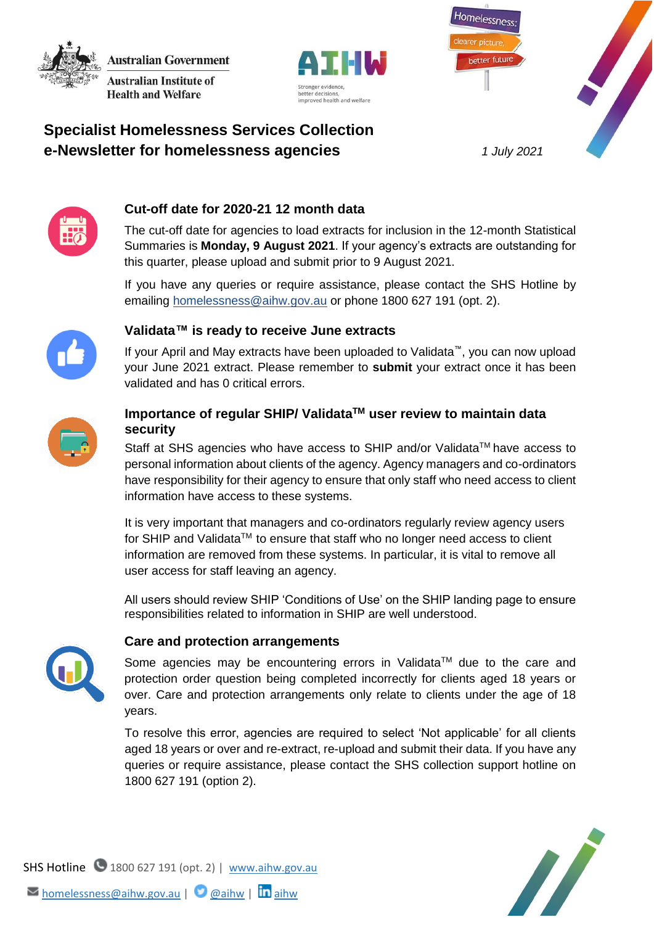**Australian Government Australian Institute of Health and Welfare** 





# **Specialist Homelessness Services Collection e-Newsletter for homelessness agencies** *1 July 2021*



## **Cut-off date for 2020-21 12 month data**

The cut-off date for agencies to load extracts for inclusion in the 12-month Statistical Summaries is **Monday, 9 August 2021**. If your agency's extracts are outstanding for this quarter, please upload and submit prior to 9 August 2021.

If you have any queries or require assistance, please contact the SHS Hotline by emailing [homelessness@aihw.gov.au](mailto:homelessness@aihw.gov.au) or phone 1800 627 191 (opt. 2).



## **Validata™ is ready to receive June extracts**

If your April and May extracts have been uploaded to Validata™, you can now upload your June 2021 extract. Please remember to **submit** your extract once it has been validated and has 0 critical errors.



## **Importance of regular SHIP/ ValidataTM user review to maintain data security**

Staff at SHS agencies who have access to SHIP and/or Validata™ have access to personal information about clients of the agency. Agency managers and co-ordinators have responsibility for their agency to ensure that only staff who need access to client information have access to these systems.

It is very important that managers and co-ordinators regularly review agency users for SHIP and Validata™ to ensure that staff who no longer need access to client information are removed from these systems. In particular, it is vital to remove all user access for staff leaving an agency.

All users should review SHIP 'Conditions of Use' on the SHIP landing page to ensure responsibilities related to information in SHIP are well understood.



### **Care and protection arrangements**

Some agencies may be encountering errors in Validata™ due to the care and protection order question being completed incorrectly for clients aged 18 years or over. Care and protection arrangements only relate to clients under the age of 18 years.

To resolve this error, agencies are required to select 'Not applicable' for all clients aged 18 years or over and re-extract, re-upload and submit their data. If you have any queries or require assistance, please contact the SHS collection support hotline on 1800 627 191 (option 2).